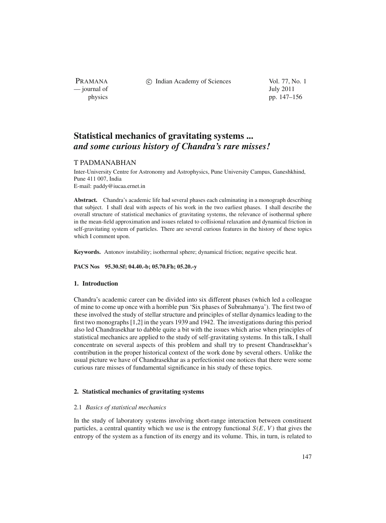PRAMANA — journal of July 2011

c Indian Academy of Sciences Vol. 77, No. 1

physics pp. 147–156

# **Statistical mechanics of gravitating systems ...** *and some curious history of Chandra's rare misses!*

# T PADMANABHAN

Inter-University Centre for Astronomy and Astrophysics, Pune University Campus, Ganeshkhind, Pune 411 007, India E-mail: paddy@iucaa.ernet.in

**Abstract.** Chandra's academic life had several phases each culminating in a monograph describing that subject. I shall deal with aspects of his work in the two earliest phases. I shall describe the overall structure of statistical mechanics of gravitating systems, the relevance of isothermal sphere in the mean-field approximation and issues related to collisional relaxation and dynamical friction in self-gravitating system of particles. There are several curious features in the history of these topics which I comment upon.

**Keywords.** Antonov instability; isothermal sphere; dynamical friction; negative specific heat.

**PACS Nos 95.30.Sf; 04.40.-b; 05.70.Fh; 05.20.-y**

# **1. Introduction**

Chandra's academic career can be divided into six different phases (which led a colleague of mine to come up once with a horrible pun 'Six phases of Subrahmanya'). The first two of these involved the study of stellar structure and principles of stellar dynamics leading to the first two monographs [1,2] in the years 1939 and 1942. The investigations during this period also led Chandrasekhar to dabble quite a bit with the issues which arise when principles of statistical mechanics are applied to the study of self-gravitating systems. In this talk, I shall concentrate on several aspects of this problem and shall try to present Chandrasekhar's contribution in the proper historical context of the work done by several others. Unlike the usual picture we have of Chandrasekhar as a perfectionist one notices that there were some curious rare misses of fundamental significance in his study of these topics.

### **2. Statistical mechanics of gravitating systems**

#### 2.1 *Basics of statistical mechanics*

In the study of laboratory systems involving short-range interaction between constituent particles, a central quantity which we use is the entropy functional  $S(E, V)$  that gives the entropy of the system as a function of its energy and its volume. This, in turn, is related to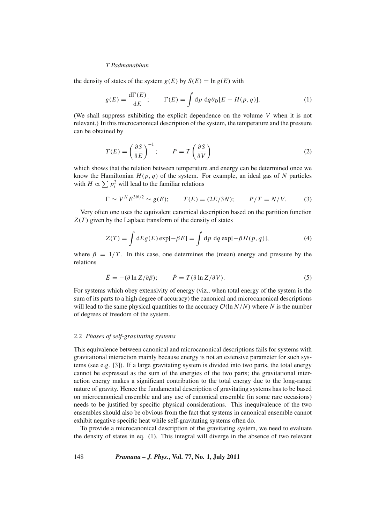the density of states of the system  $g(E)$  by  $S(E) = \ln g(E)$  with

$$
g(E) = \frac{d\Gamma(E)}{dE}; \qquad \Gamma(E) = \int dp \, dq \theta_D [E - H(p, q)]. \tag{1}
$$

(We shall suppress exhibiting the explicit dependence on the volume *V* when it is not relevant.) In this microcanonical description of the system, the temperature and the pressure can be obtained by

$$
T(E) = \left(\frac{\partial S}{\partial E}\right)^{-1}; \qquad P = T\left(\frac{\partial S}{\partial V}\right)
$$
 (2)

which shows that the relation between temperature and energy can be determined once we know the Hamiltonian  $H(p, q)$  of the system. For example, an ideal gas of *N* particles with  $H \propto \sum p_i^2$  will lead to the familiar relations

$$
\Gamma \sim V^N E^{3N/2} \sim g(E); \qquad T(E) = (2E/3N); \qquad P/T = N/V.
$$
 (3)

Very often one uses the equivalent canonical description based on the partition function  $Z(T)$  given by the Laplace transform of the density of states

$$
Z(T) = \int dE g(E) \exp[-\beta E] = \int dp \, dq \exp[-\beta H(p, q)], \tag{4}
$$

where  $\beta = 1/T$ . In this case, one determines the (mean) energy and pressure by the relations

$$
\bar{E} = -(\partial \ln Z / \partial \beta); \qquad \bar{P} = T(\partial \ln Z / \partial V). \tag{5}
$$

For systems which obey extensivity of energy (viz., when total energy of the system is the sum of its parts to a high degree of accuracy) the canonical and microcanonical descriptions will lead to the same physical quantities to the accuracy  $\mathcal{O}(\ln N/N)$  where *N* is the number of degrees of freedom of the system.

#### 2.2 *Phases of self-gra*v*itating systems*

This equivalence between canonical and microcanonical descriptions fails for systems with gravitational interaction mainly because energy is not an extensive parameter for such systems (see e.g. [3]). If a large gravitating system is divided into two parts, the total energy cannot be expressed as the sum of the energies of the two parts; the gravitational interaction energy makes a significant contribution to the total energy due to the long-range nature of gravity. Hence the fundamental description of gravitating systems has to be based on microcanonical ensemble and any use of canonical ensemble (in some rare occasions) needs to be justified by specific physical considerations. This inequivalence of the two ensembles should also be obvious from the fact that systems in canonical ensemble cannot exhibit negative specific heat while self-gravitating systems often do.

To provide a microcanonical description of the gravitating system, we need to evaluate the density of states in eq. (1). This integral will diverge in the absence of two relevant

148 *Pramana – J. Phys.***, Vol. 77, No. 1, July 2011**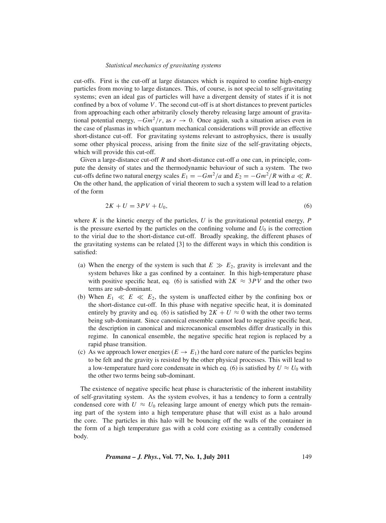cut-offs. First is the cut-off at large distances which is required to confine high-energy particles from moving to large distances. This, of course, is not special to self-gravitating systems; even an ideal gas of particles will have a divergent density of states if it is not confined by a box of volume *V*. The second cut-off is at short distances to prevent particles from approaching each other arbitrarily closely thereby releasing large amount of gravitational potential energy,  $-Gm^2/r$ , as  $r \to 0$ . Once again, such a situation arises even in the case of plasmas in which quantum mechanical considerations will provide an effective short-distance cut-off. For gravitating systems relevant to astrophysics, there is usually some other physical process, arising from the finite size of the self-gravitating objects, which will provide this cut-off.

Given a large-distance cut-off *R* and short-distance cut-off *a* one can, in principle, compute the density of states and the thermodynamic behaviour of such a system. The two cut-offs define two natural energy scales  $E_1 = -Gm^2/a$  and  $E_2 = -Gm^2/R$  with  $a \ll R$ . On the other hand, the application of virial theorem to such a system will lead to a relation of the form

$$
2K + U = 3PV + U_0,\tag{6}
$$

where  $K$  is the kinetic energy of the particles,  $U$  is the gravitational potential energy,  $P$ is the pressure exerted by the particles on the confining volume and  $U_0$  is the correction to the virial due to the short-distance cut-off. Broadly speaking, the different phases of the gravitating systems can be related [3] to the different ways in which this condition is satisfied:

- (a) When the energy of the system is such that  $E \gg E_2$ , gravity is irrelevant and the system behaves like a gas confined by a container. In this high-temperature phase with positive specific heat, eq. (6) is satisfied with  $2K \approx 3PV$  and the other two terms are sub-dominant.
- (b) When  $E_1 \ll E \ll E_2$ , the system is unaffected either by the confining box or the short-distance cut-off. In this phase with negative specific heat, it is dominated entirely by gravity and eq. (6) is satisfied by  $2K + U \approx 0$  with the other two terms being sub-dominant. Since canonical ensemble cannot lead to negative specific heat, the description in canonical and microcanonical ensembles differ drastically in this regime. In canonical ensemble, the negative specific heat region is replaced by a rapid phase transition.
- (c) As we approach lower energies  $(E \to E_1)$  the hard core nature of the particles begins to be felt and the gravity is resisted by the other physical processes. This will lead to a low-temperature hard core condensate in which eq. (6) is satisfied by  $U \approx U_0$  with the other two terms being sub-dominant.

The existence of negative specific heat phase is characteristic of the inherent instability of self-gravitating system. As the system evolves, it has a tendency to form a centrally condensed core with  $U \approx U_0$  releasing large amount of energy which puts the remaining part of the system into a high temperature phase that will exist as a halo around the core. The particles in this halo will be bouncing off the walls of the container in the form of a high temperature gas with a cold core existing as a centrally condensed body.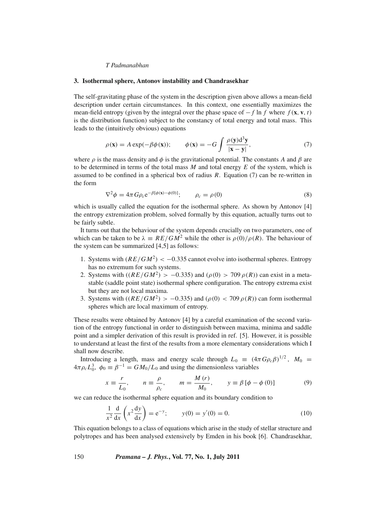#### **3. Isothermal sphere, Antonov instability and Chandrasekhar**

The self-gravitating phase of the system in the description given above allows a mean-field description under certain circumstances. In this context, one essentially maximizes the mean-field entropy (given by the integral over the phase space of  $-f \ln f$  where  $f(\mathbf{x}, \mathbf{v}, t)$ is the distribution function) subject to the constancy of total energy and total mass. This leads to the (intuitively obvious) equations

$$
\rho(\mathbf{x}) = A \exp(-\beta \phi(\mathbf{x})); \qquad \phi(\mathbf{x}) = -G \int \frac{\rho(\mathbf{y}) d^3 \mathbf{y}}{|\mathbf{x} - \mathbf{y}|}, \tag{7}
$$

where  $\rho$  is the mass density and  $\phi$  is the gravitational potential. The constants *A* and  $\beta$  are to be determined in terms of the total mass *M* and total energy *E* of the system, which is assumed to be confined in a spherical box of radius *R*. Equation (7) can be re-written in the form

$$
\nabla^2 \phi = 4\pi G \rho_c e^{-\beta [\phi(\mathbf{x}) - \phi(0)]}; \qquad \rho_c = \rho(0)
$$
\n(8)

which is usually called the equation for the isothermal sphere. As shown by Antonov [4] the entropy extremization problem, solved formally by this equation, actually turns out to be fairly subtle.

It turns out that the behaviour of the system depends crucially on two parameters, one of which can be taken to be  $\lambda = RE/GM^2$  while the other is  $\rho(0)/\rho(R)$ . The behaviour of the system can be summarized [4,5] as follows:

- 1. Systems with  $(RE/GM^2) < -0.335$  cannot evolve into isothermal spheres. Entropy has no extremum for such systems.
- 2. Systems with  $((RE/GM^2) > -0.335)$  and  $(\rho(0) > 709 \rho(R))$  can exist in a metastable (saddle point state) isothermal sphere configuration. The entropy extrema exist but they are not local maxima.
- 3. Systems with  $((RE/GM^2) > -0.335)$  and  $(\rho(0) < 709 \rho(R))$  can form isothermal spheres which are local maximum of entropy.

These results were obtained by Antonov [4] by a careful examination of the second variation of the entropy functional in order to distinguish between maxima, minima and saddle point and a simpler derivation of this result is provided in ref. [5]. However, it is possible to understand at least the first of the results from a more elementary considerations which I shall now describe.

Introducing a length, mass and energy scale through  $L_0$  =  $(4\pi G \rho_c \beta)^{1/2}$ ,  $M_0$  =  $4\pi \rho_c L_0^3$ ,  $\phi_0 \equiv \beta^{-1} = GM_0/L_0$  and using the dimensionless variables

$$
x \equiv \frac{r}{L_0}, \qquad n \equiv \frac{\rho}{\rho_c}, \qquad m = \frac{M(r)}{M_0}, \qquad y \equiv \beta [\phi - \phi(0)]
$$
 (9)

we can reduce the isothermal sphere equation and its boundary condition to

$$
\frac{1}{x^2} \frac{d}{dx} \left( x^2 \frac{dy}{dx} \right) = e^{-y}; \qquad y(0) = y'(0) = 0.
$$
 (10)

This equation belongs to a class of equations which arise in the study of stellar structure and polytropes and has been analysed extensively by Emden in his book [6]. Chandrasekhar,

150 *Pramana – J. Phys.***, Vol. 77, No. 1, July 2011**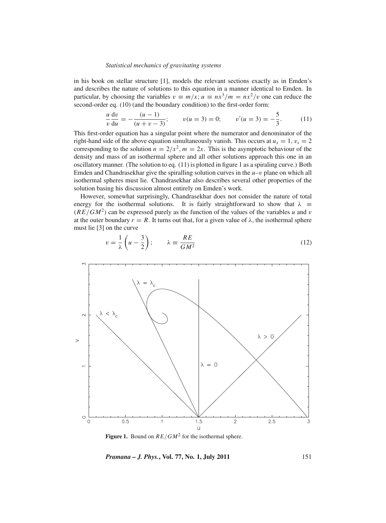in his book on stellar structure [1], models the relevant sections exactly as in Emden's and describes the nature of solutions to this equation in a manner identical to Emden. In particular, by choosing the variables  $v \equiv m/x$ ;  $u \equiv nx^3/m = nx^2/v$  one can reduce the second-order eq. (10) (and the boundary condition) to the first-order form:

$$
\frac{u}{v}\frac{dv}{du} = -\frac{(u-1)}{(u+v-3)}; \qquad v(u=3) = 0; \qquad v'(u=3) = -\frac{5}{3}.
$$
 (11)

This first-order equation has a singular point where the numerator and denominator of the right-hand side of the above equation simultaneously vanish. This occurs at  $u_s = 1$ ,  $v_s = 2$ corresponding to the solution  $n = 2/x^2$ ,  $m = 2x$ . This is the asymptotic behaviour of the density and mass of an isothermal sphere and all other solutions approach this one in an oscillatory manner. (The solution to eq. (11) is plotted in figure 1 as a spiraling curve.) Both Emden and Chandrasekhar give the spiralling solution curves in the  $u-v$  plane on which all isothermal spheres must lie. Chandrasekhar also describes several other properties of the solution basing his discussion almost entirely on Emden's work.

However, somewhat surprisingly, Chandrasekhar does not consider the nature of total energy for the isothermal solutions. It is fairly straightforward to show that  $\lambda \equiv$  $(RE/GM^2)$  can be expressed purely as the function of the values of the variables *u* and *v* at the outer boundary  $r = R$ . It turns out that, for a given value of  $\lambda$ , the isothermal sphere must lie [3] on the curve

$$
v = \frac{1}{\lambda} \left( u - \frac{3}{2} \right); \qquad \lambda \equiv \frac{RE}{GM^2}
$$
 (12)



**Figure 1.** Bound on *RE*/*G M*<sup>2</sup> for the isothermal sphere.

*Pramana – J. Phys.***, Vol. 77, No. 1, July 2011** 151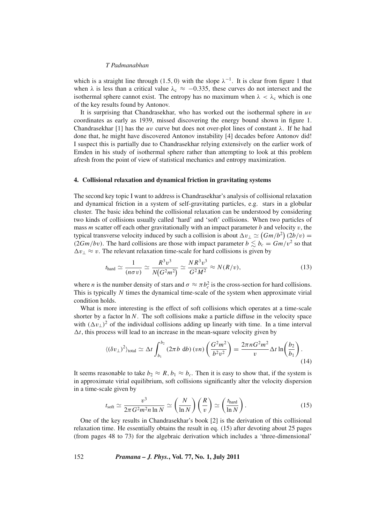which is a straight line through (1.5, 0) with the slope  $\lambda^{-1}$ . It is clear from figure 1 that when  $\lambda$  is less than a critical value  $\lambda_c \approx -0.335$ , these curves do not intersect and the isothermal sphere cannot exist. The entropy has no maximum when  $\lambda < \lambda_c$  which is one of the key results found by Antonov.

It is surprising that Chandrasekhar, who has worked out the isothermal sphere in *u*v coordinates as early as 1939, missed discovering the energy bound shown in figure 1. Chandrasekhar  $[1]$  has the *uv* curve but does not over-plot lines of constant  $\lambda$ . If he had done that, he might have discovered Antonov instability [4] decades before Antonov did! I suspect this is partially due to Chandrasekhar relying extensively on the earlier work of Emden in his study of isothermal sphere rather than attempting to look at this problem afresh from the point of view of statistical mechanics and entropy maximization.

### **4. Collisional relaxation and dynamical friction in gravitating systems**

The second key topic I want to address is Chandrasekhar's analysis of collisional relaxation and dynamical friction in a system of self-gravitating particles, e.g. stars in a globular cluster. The basic idea behind the collisional relaxation can be understood by considering two kinds of collisions usually called 'hard' and 'soft' collisions. When two particles of mass *m* scatter off each other gravitationally with an impact parameter *b* and velocity v, the typical transverse velocity induced by such a collision is about  $\Delta v_{\perp} \simeq (Gm/b^2) (2b/v) =$ (2*Gm/bv*). The hard collisions are those with impact parameter  $b \lesssim b_c = Gm/v^2$  so that  $\Delta v_{\perp} \approx v$ . The relevant relaxation time-scale for hard collisions is given by

$$
t_{\text{hard}} \simeq \frac{1}{(n\sigma v)} \simeq \frac{R^3 v^3}{N(G^2 m^2)} \simeq \frac{N R^3 v^3}{G^2 M^2} \approx N(R/v),\tag{13}
$$

where *n* is the number density of stars and  $\sigma \approx \pi b_c^2$  is the cross-section for hard collisions. This is typically *N* times the dynamical time-scale of the system when approximate virial condition holds.

What is more interesting is the effect of soft collisions which operates at a time-scale shorter by a factor ln *N*. The soft collisions make a particle diffuse in the velocity space with  $(\Delta v_{\perp})^2$  of the individual collisions adding up linearly with time. In a time interval  $\Delta t$ , this process will lead to an increase in the mean-square velocity given by

$$
\langle (\delta v_{\perp})^2 \rangle_{\text{total}} \simeq \Delta t \int_{b_1}^{b_2} (2\pi b \text{ db}) (vn) \left( \frac{G^2 m^2}{b^2 v^2} \right) = \frac{2\pi n G^2 m^2}{v} \Delta t \ln \left( \frac{b_2}{b_1} \right). \tag{14}
$$

It seems reasonable to take  $b_2 \approx R$ ,  $b_1 \approx b_c$ . Then it is easy to show that, if the system is in approximate virial equilibrium, soft collisions significantly alter the velocity dispersion in a time-scale given by

$$
t_{\text{soft}} \simeq \frac{v^3}{2\pi G^2 m^2 n \ln N} \simeq \left(\frac{N}{\ln N}\right) \left(\frac{R}{v}\right) \simeq \left(\frac{t_{\text{hard}}}{\ln N}\right). \tag{15}
$$

One of the key results in Chandrasekhar's book [2] is the derivation of this collisional relaxation time. He essentially obtains the result in eq. (15) after devoting about 25 pages (from pages 48 to 73) for the algebraic derivation which includes a 'three-dimensional'

152 *Pramana – J. Phys.***, Vol. 77, No. 1, July 2011**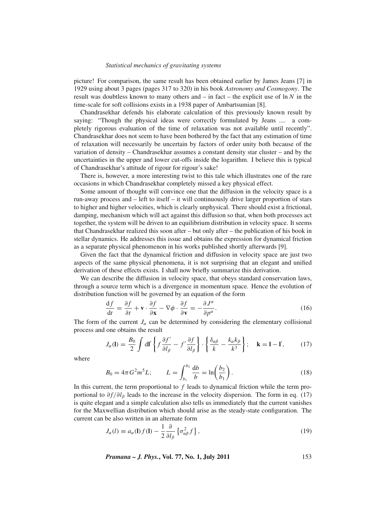picture! For comparison, the same result has been obtained earlier by James Jeans [7] in 1929 using about 3 pages (pages 317 to 320) in his book *Astronomy and Cosmogony*. The result was doubtless known to many others and  $-$  in fact  $-$  the explicit use of  $\ln N$  in the time-scale for soft collisions exists in a 1938 paper of Ambartsumian [8].

Chandrasekhar defends his elaborate calculation of this previously known result by saying: "Though the physical ideas were correctly formulated by Jeans .... a completely rigorous evaluation of the time of relaxation was not available until recently". Chandrasekhar does not seem to have been bothered by the fact that any estimation of time of relaxation will necessarily be uncertain by factors of order unity both because of the variation of density – Chandrasekhar assumes a constant density star cluster – and by the uncertainties in the upper and lower cut-offs inside the logarithm. I believe this is typical of Chandrasekhar's attitude of rigour for rigour's sake!

There is, however, a more interesting twist to this tale which illustrates one of the rare occasions in which Chandrasekhar completely missed a key physical effect.

Some amount of thought will convince one that the diffusion in the velocity space is a run-away process and – left to itself – it will continuously drive larger proportion of stars to higher and higher velocities, which is clearly unphysical. There should exist a frictional, damping, mechanism which will act against this diffusion so that, when both processes act together, the system will be driven to an equilibrium distribution in velocity space. It seems that Chandrasekhar realized this soon after – but only after – the publication of his book in stellar dynamics. He addresses this issue and obtains the expression for dynamical friction as a separate physical phenomenon in his works published shortly afterwards [9].

Given the fact that the dynamical friction and diffusion in velocity space are just two aspects of the same physical phenomena, it is not surprising that an elegant and unified derivation of these effects exists. I shall now briefly summarize this derivation.

We can describe the diffusion in velocity space, that obeys standard conservation laws, through a source term which is a divergence in momentum space. Hence the evolution of distribution function will be governed by an equation of the form

$$
\frac{\mathrm{d}f}{\mathrm{d}t} = \frac{\partial f}{\partial t} + \mathbf{v} \cdot \frac{\partial f}{\partial \mathbf{x}} - \nabla \phi \cdot \frac{\partial f}{\partial \mathbf{v}} = -\frac{\partial J^{\alpha}}{\partial p^{\alpha}}.
$$
\n(16)

The form of the current  $J_\alpha$  can be determined by considering the elementary collisional process and one obtains the result

$$
J_{\alpha}(\mathbf{l}) = \frac{B_0}{2} \int \mathrm{d}\mathbf{l}' \left\{ f \frac{\partial f'}{\partial l_{\beta}} - f' \frac{\partial f}{\partial l_{\beta}} \right\} \cdot \left\{ \frac{\delta_{\alpha\beta}}{k} - \frac{k_{\alpha} k_{\beta}}{k^3} \right\}; \quad \mathbf{k} = \mathbf{l} - \mathbf{l}',\tag{17}
$$

where

$$
B_0 = 4\pi G^2 m^5 L; \qquad L = \int_{b_1}^{b_2} \frac{db}{b} = \ln\left(\frac{b_2}{b_1}\right). \tag{18}
$$

In this current, the term proportional to *f* leads to dynamical friction while the term proportional to  $\partial f / \partial l_\beta$  leads to the increase in the velocity dispersion. The form in eq. (17) is quite elegant and a simple calculation also tells us immediately that the current vanishes for the Maxwellian distribution which should arise as the steady-state configuration. The current can be also written in an alternate form

$$
J_{\alpha}(l) \equiv a_{\alpha}(l) f(l) - \frac{1}{2} \frac{\partial}{\partial l_{\beta}} \left\{ \sigma_{\alpha\beta}^{2} f \right\},\tag{19}
$$

*Pramana – J. Phys.***, Vol. 77, No. 1, July 2011** 153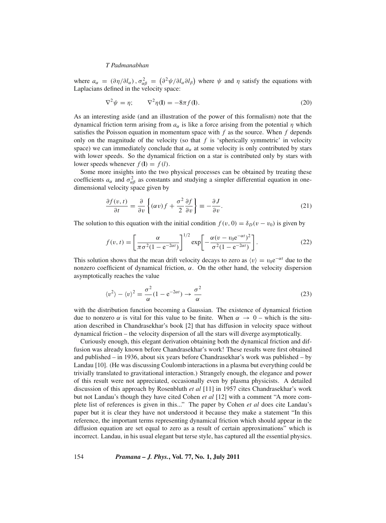where  $a_{\alpha} = (\partial \eta / \partial l_{\alpha})$ ,  $\sigma_{\alpha\beta}^2 = (\partial^2 \psi / \partial l_{\alpha} \partial l_{\beta})$  where  $\psi$  and  $\eta$  satisfy the equations with Laplacians defined in the velocity space:

$$
\nabla^2 \psi = \eta; \qquad \nabla^2 \eta(\mathbf{l}) = -8\pi f(\mathbf{l}). \tag{20}
$$

As an interesting aside (and an illustration of the power of this formalism) note that the dynamical friction term arising from  $a_{\alpha}$  is like a force arising from the potential  $\eta$  which satisfies the Poisson equation in momentum space with  $f$  as the source. When  $f$  depends only on the magnitude of the velocity (so that  $f$  is 'spherically symmetric' in velocity space) we can immediately conclude that  $a_{\alpha}$  at some velocity is only contributed by stars with lower speeds. So the dynamical friction on a star is contributed only by stars with lower speeds whenever  $f(\mathbf{l}) = f(l)$ .

Some more insights into the two physical processes can be obtained by treating these coefficients  $a_{\alpha}$  and  $\sigma_{\alpha\beta}^2$  as constants and studying a simpler differential equation in onedimensional velocity space given by

$$
\frac{\partial f(v,t)}{\partial t} = \frac{\partial}{\partial v} \left\{ (\alpha v) f + \frac{\sigma^2}{2} \frac{\partial f}{\partial v} \right\} \equiv -\frac{\partial J}{\partial v}.
$$
\n(21)

The solution to this equation with the initial condition  $f(v, 0) = \delta_D(v - v_0)$  is given by

$$
f(v,t) = \left[\frac{\alpha}{\pi\sigma^2(1 - e^{-2\alpha t})}\right]^{1/2} \exp\left[-\frac{\alpha(v - v_0 e^{-\alpha t})^2}{\sigma^2(1 - e^{-2\alpha t})}\right].
$$
 (22)

This solution shows that the mean drift velocity decays to zero as  $\langle v \rangle = v_0 e^{-\alpha t}$  due to the nonzero coefficient of dynamical friction,  $\alpha$ . On the other hand, the velocity dispersion asymptotically reaches the value

$$
\langle v^2 \rangle - \langle v \rangle^2 = \frac{\sigma^2}{\alpha} (1 - e^{-2\alpha t}) \to \frac{\sigma^2}{\alpha}
$$
 (23)

with the distribution function becoming a Gaussian. The existence of dynamical friction due to nonzero  $\alpha$  is vital for this value to be finite. When  $\alpha \rightarrow 0$  – which is the situation described in Chandrasekhar's book [2] that has diffusion in velocity space without dynamical friction – the velocity dispersion of all the stars will diverge asymptotically.

Curiously enough, this elegant derivation obtaining both the dynamical friction and diffusion was already known before Chandrasekhar's work! These results were first obtained and published – in 1936, about six years before Chandrasekhar's work was published – by Landau [10]. (He was discussing Coulomb interactions in a plasma but everything could be trivially translated to gravitational interaction.) Strangely enough, the elegance and power of this result were not appreciated, occasionally even by plasma physicists. A detailed discussion of this approach by Rosenbluth *et al* [11] in 1957 cites Chandrasekhar's work but not Landau's though they have cited Cohen *et al* [12] with a comment "A more complete list of references is given in this..." The paper by Cohen *et al* does cite Landau's paper but it is clear they have not understood it because they make a statement "In this reference, the important terms representing dynamical friction which should appear in the diffusion equation are set equal to zero as a result of certain approximations" which is incorrect. Landau, in his usual elegant but terse style, has captured all the essential physics.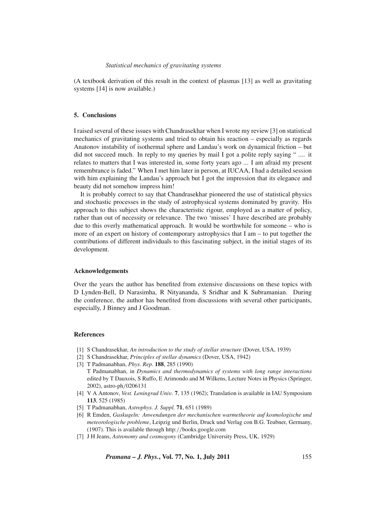(A textbook derivation of this result in the context of plasmas [13] as well as gravitating systems [14] is now available.)

## **5. Conclusions**

I raised several of these issues with Chandrasekhar when I wrote my review [3] on statistical mechanics of gravitating systems and tried to obtain his reaction – especially as regards Anatonov instability of isothermal sphere and Landau's work on dynamical friction – but did not succeed much. In reply to my queries by mail I got a polite reply saying " .... it relates to matters that I was interested in, some forty years ago ... I am afraid my present remembrance is faded." When I met him later in person, at IUCAA, I had a detailed session with him explaining the Landau's approach but I got the impression that its elegance and beauty did not somehow impress him!

It is probably correct to say that Chandrasekhar pioneered the use of statistical physics and stochastic processes in the study of astrophysical systems dominated by gravity. His approach to this subject shows the characteristic rigour, employed as a matter of policy, rather than out of necessity or relevance. The two 'misses' I have described are probably due to this overly mathematical approach. It would be worthwhile for someone – who is more of an expert on history of contemporary astrophysics that  $I$  am  $-$  to put together the contributions of different individuals to this fascinating subject, in the initial stages of its development.

#### **Acknowledgements**

Over the years the author has benefited from extensive discussions on these topics with D Lynden-Bell, D Narasimha, R Nityananda, S Sridhar and K Subramanian. During the conference, the author has benefited from discussions with several other participants, especially, J Binney and J Goodman.

### **References**

- [1] S Chandrasekhar, *An introduction to the study of stellar structure* (Dover, USA, 1939)
- [2] S Chandrasekhar, *Principles of stellar dynamics* (Dover, USA, 1942)
- [3] T Padmanabhan, *Phys. Rep.* **188**, 285 (1990)
	- T Padmanabhan, in *Dynamics and thermodynamics of systems with long range interactions* edited by T Dauxois, S Ruffo, E Arimondo and M Wilkens, Lecture Notes in Physics (Springer, 2002), astro-ph/0206131
- [4] V A Antonov, *Vest. Leningrad Uni*v*.* **7**, 135 (1962); Translation is available in IAU Symposium **113**, 525 (1985)
- [5] T Padmanabhan, *Astrophys. J. Suppl.* **71**, 651 (1989)
- [6] R Emden, *Gaskugeln: Anwendungen der mechanischen warmetheorie auf kosmologische und meteorologische probleme*, Leipzig und Berlin, Druck und Verlag con B.G. Teubner, Germany, (1907). This is available through http://books.google.com
- [7] J H Jeans, *Astronomy and cosmogony* (Cambridge University Press, UK, 1929)

*Pramana – J. Phys.***, Vol. 77, No. 1, July 2011** 155